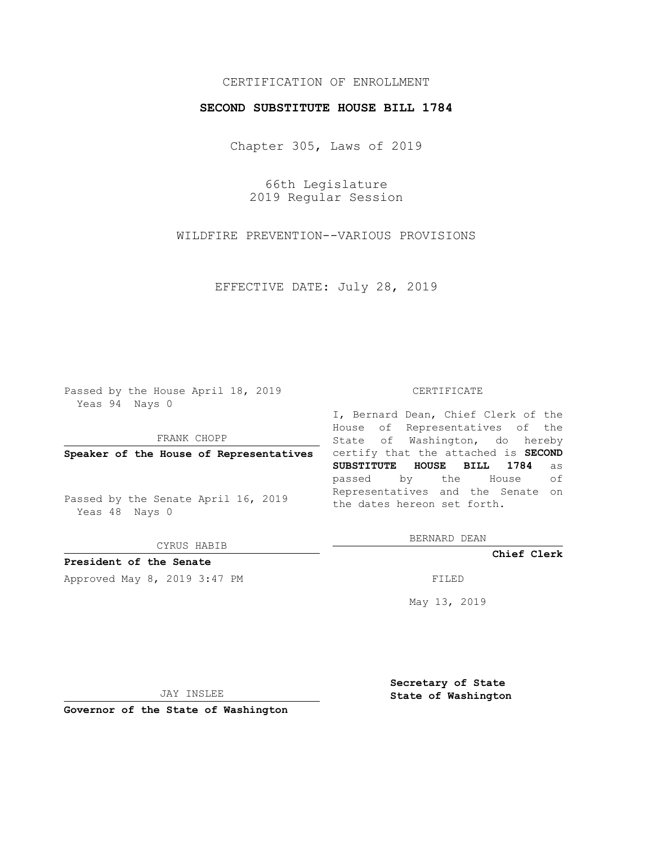## CERTIFICATION OF ENROLLMENT

## **SECOND SUBSTITUTE HOUSE BILL 1784**

Chapter 305, Laws of 2019

66th Legislature 2019 Regular Session

WILDFIRE PREVENTION--VARIOUS PROVISIONS

EFFECTIVE DATE: July 28, 2019

Passed by the House April 18, 2019 Yeas 94 Nays 0

FRANK CHOPP

Passed by the Senate April 16, 2019 Yeas 48 Nays 0

CYRUS HABIB

**President of the Senate**

Approved May 8, 2019 3:47 PM

#### CERTIFICATE

**Speaker of the House of Representatives** certify that the attached is **SECOND** I, Bernard Dean, Chief Clerk of the House of Representatives of the State of Washington, do hereby **SUBSTITUTE HOUSE BILL 1784** as passed by the House of Representatives and the Senate on the dates hereon set forth.

BERNARD DEAN

**Chief Clerk**

May 13, 2019

JAY INSLEE

**Governor of the State of Washington**

**Secretary of State State of Washington**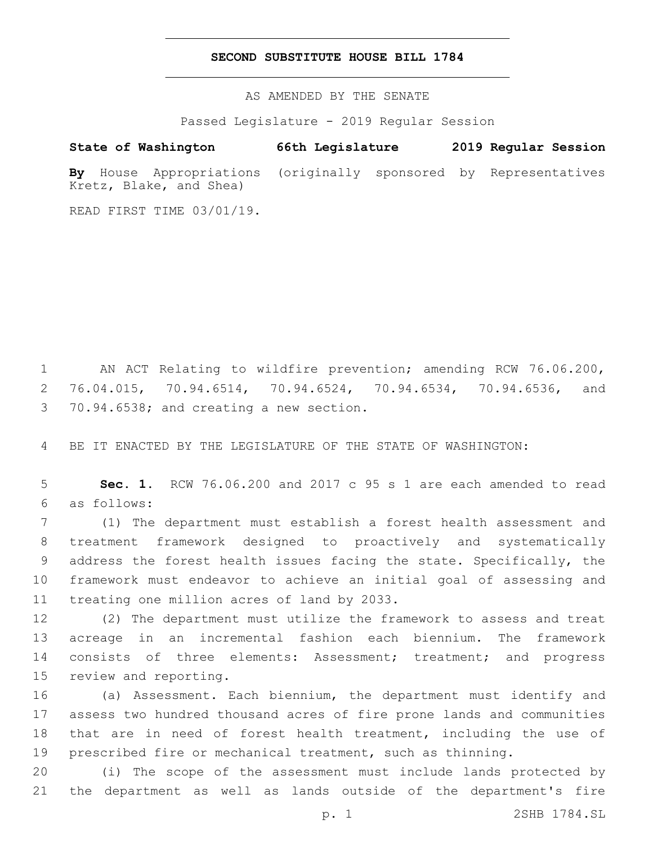### **SECOND SUBSTITUTE HOUSE BILL 1784**

AS AMENDED BY THE SENATE

Passed Legislature - 2019 Regular Session

# **State of Washington 66th Legislature 2019 Regular Session**

**By** House Appropriations (originally sponsored by Representatives Kretz, Blake, and Shea)

READ FIRST TIME 03/01/19.

1 AN ACT Relating to wildfire prevention; amending RCW 76.06.200, 2 76.04.015, 70.94.6514, 70.94.6524, 70.94.6534, 70.94.6536, and 3 70.94.6538; and creating a new section.

4 BE IT ENACTED BY THE LEGISLATURE OF THE STATE OF WASHINGTON:

5 **Sec. 1.** RCW 76.06.200 and 2017 c 95 s 1 are each amended to read as follows:6

 (1) The department must establish a forest health assessment and treatment framework designed to proactively and systematically address the forest health issues facing the state. Specifically, the framework must endeavor to achieve an initial goal of assessing and 11 treating one million acres of land by 2033.

12 (2) The department must utilize the framework to assess and treat 13 acreage in an incremental fashion each biennium. The framework 14 consists of three elements: Assessment; treatment; and progress 15 review and reporting.

 (a) Assessment. Each biennium, the department must identify and assess two hundred thousand acres of fire prone lands and communities that are in need of forest health treatment, including the use of prescribed fire or mechanical treatment, such as thinning.

20 (i) The scope of the assessment must include lands protected by 21 the department as well as lands outside of the department's fire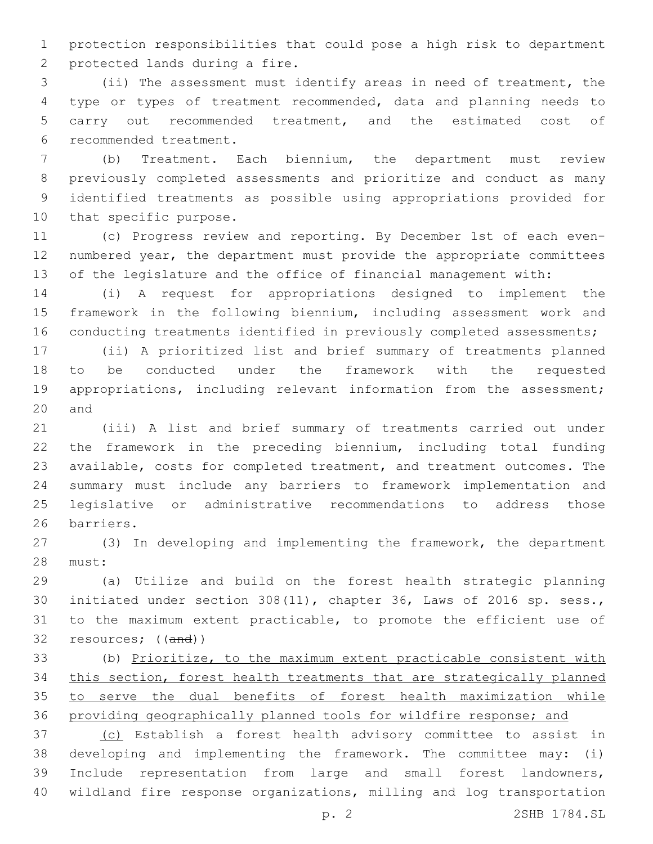protection responsibilities that could pose a high risk to department 2 protected lands during a fire.

 (ii) The assessment must identify areas in need of treatment, the type or types of treatment recommended, data and planning needs to carry out recommended treatment, and the estimated cost of recommended treatment.6

 (b) Treatment. Each biennium, the department must review previously completed assessments and prioritize and conduct as many identified treatments as possible using appropriations provided for 10 that specific purpose.

 (c) Progress review and reporting. By December 1st of each even- numbered year, the department must provide the appropriate committees of the legislature and the office of financial management with:

 (i) A request for appropriations designed to implement the framework in the following biennium, including assessment work and 16 conducting treatments identified in previously completed assessments;

 (ii) A prioritized list and brief summary of treatments planned to be conducted under the framework with the requested 19 appropriations, including relevant information from the assessment; 20 and

 (iii) A list and brief summary of treatments carried out under the framework in the preceding biennium, including total funding available, costs for completed treatment, and treatment outcomes. The summary must include any barriers to framework implementation and legislative or administrative recommendations to address those 26 barriers.

 (3) In developing and implementing the framework, the department 28 must:

 (a) Utilize and build on the forest health strategic planning initiated under section 308(11), chapter 36, Laws of 2016 sp. sess., to the maximum extent practicable, to promote the efficient use of resources; ((and))

 (b) Prioritize, to the maximum extent practicable consistent with this section, forest health treatments that are strategically planned to serve the dual benefits of forest health maximization while providing geographically planned tools for wildfire response; and

 (c) Establish a forest health advisory committee to assist in developing and implementing the framework. The committee may: (i) Include representation from large and small forest landowners, wildland fire response organizations, milling and log transportation

p. 2 2SHB 1784.SL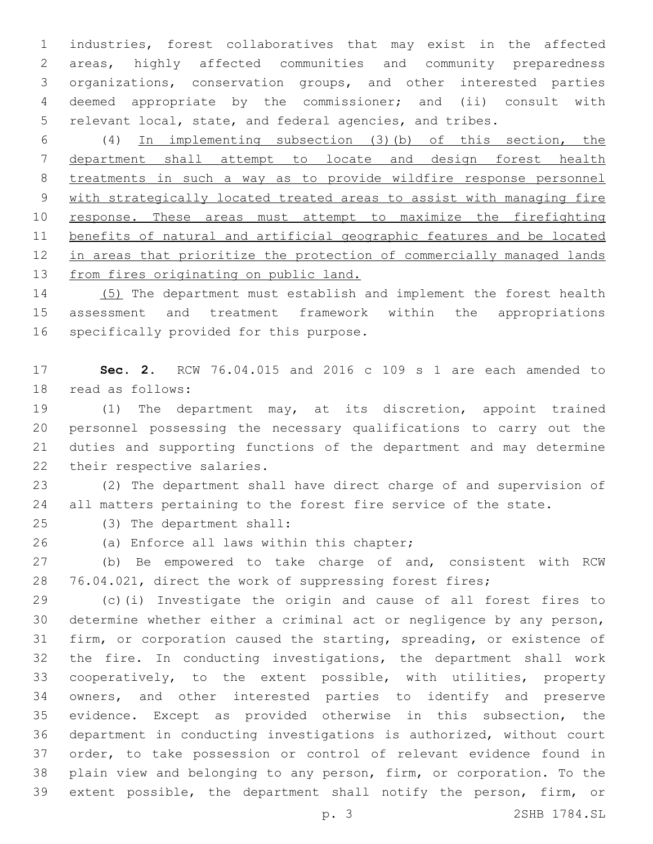industries, forest collaboratives that may exist in the affected areas, highly affected communities and community preparedness organizations, conservation groups, and other interested parties deemed appropriate by the commissioner; and (ii) consult with relevant local, state, and federal agencies, and tribes.

 (4) In implementing subsection (3)(b) of this section, the department shall attempt to locate and design forest health treatments in such a way as to provide wildfire response personnel with strategically located treated areas to assist with managing fire 10 response. These areas must attempt to maximize the firefighting benefits of natural and artificial geographic features and be located in areas that prioritize the protection of commercially managed lands from fires originating on public land.

 (5) The department must establish and implement the forest health assessment and treatment framework within the appropriations 16 specifically provided for this purpose.

 **Sec. 2.** RCW 76.04.015 and 2016 c 109 s 1 are each amended to 18 read as follows:

 (1) The department may, at its discretion, appoint trained personnel possessing the necessary qualifications to carry out the duties and supporting functions of the department and may determine 22 their respective salaries.

 (2) The department shall have direct charge of and supervision of 24 all matters pertaining to the forest fire service of the state.

(3) The department shall:25

26 (a) Enforce all laws within this chapter;

 (b) Be empowered to take charge of and, consistent with RCW 76.04.021, direct the work of suppressing forest fires;

 (c)(i) Investigate the origin and cause of all forest fires to determine whether either a criminal act or negligence by any person, firm, or corporation caused the starting, spreading, or existence of the fire. In conducting investigations, the department shall work cooperatively, to the extent possible, with utilities, property owners, and other interested parties to identify and preserve evidence. Except as provided otherwise in this subsection, the department in conducting investigations is authorized, without court order, to take possession or control of relevant evidence found in plain view and belonging to any person, firm, or corporation. To the extent possible, the department shall notify the person, firm, or

p. 3 2SHB 1784.SL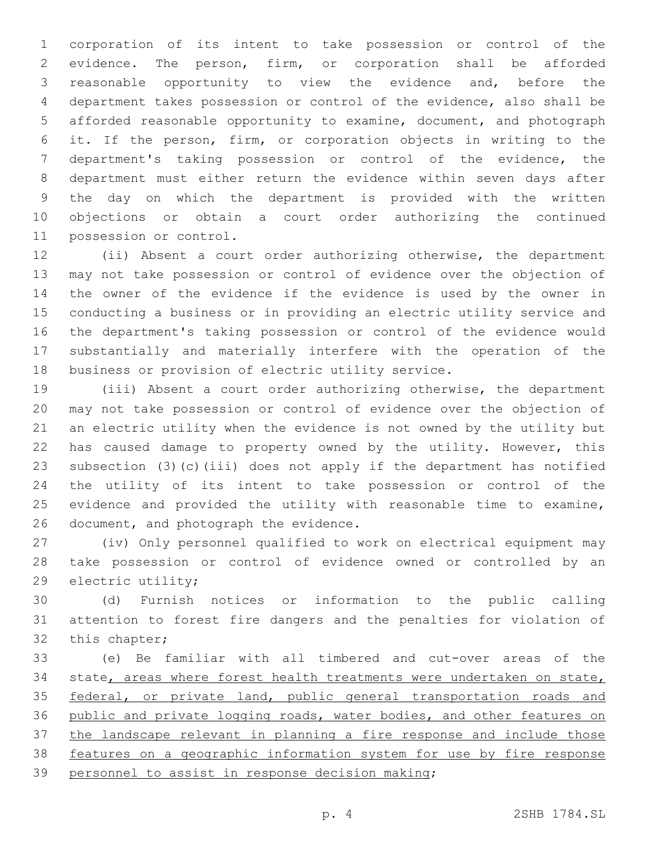corporation of its intent to take possession or control of the evidence. The person, firm, or corporation shall be afforded reasonable opportunity to view the evidence and, before the department takes possession or control of the evidence, also shall be afforded reasonable opportunity to examine, document, and photograph it. If the person, firm, or corporation objects in writing to the department's taking possession or control of the evidence, the department must either return the evidence within seven days after the day on which the department is provided with the written objections or obtain a court order authorizing the continued 11 possession or control.

 (ii) Absent a court order authorizing otherwise, the department may not take possession or control of evidence over the objection of the owner of the evidence if the evidence is used by the owner in conducting a business or in providing an electric utility service and the department's taking possession or control of the evidence would substantially and materially interfere with the operation of the business or provision of electric utility service.

 (iii) Absent a court order authorizing otherwise, the department may not take possession or control of evidence over the objection of an electric utility when the evidence is not owned by the utility but has caused damage to property owned by the utility. However, this subsection (3)(c)(iii) does not apply if the department has notified the utility of its intent to take possession or control of the evidence and provided the utility with reasonable time to examine, 26 document, and photograph the evidence.

 (iv) Only personnel qualified to work on electrical equipment may take possession or control of evidence owned or controlled by an 29 electric utility;

 (d) Furnish notices or information to the public calling attention to forest fire dangers and the penalties for violation of 32 this chapter;

 (e) Be familiar with all timbered and cut-over areas of the 34 state, areas where forest health treatments were undertaken on state, 35 federal, or private land, public general transportation roads and public and private logging roads, water bodies, and other features on the landscape relevant in planning a fire response and include those features on a geographic information system for use by fire response 39 personnel to assist in response decision making;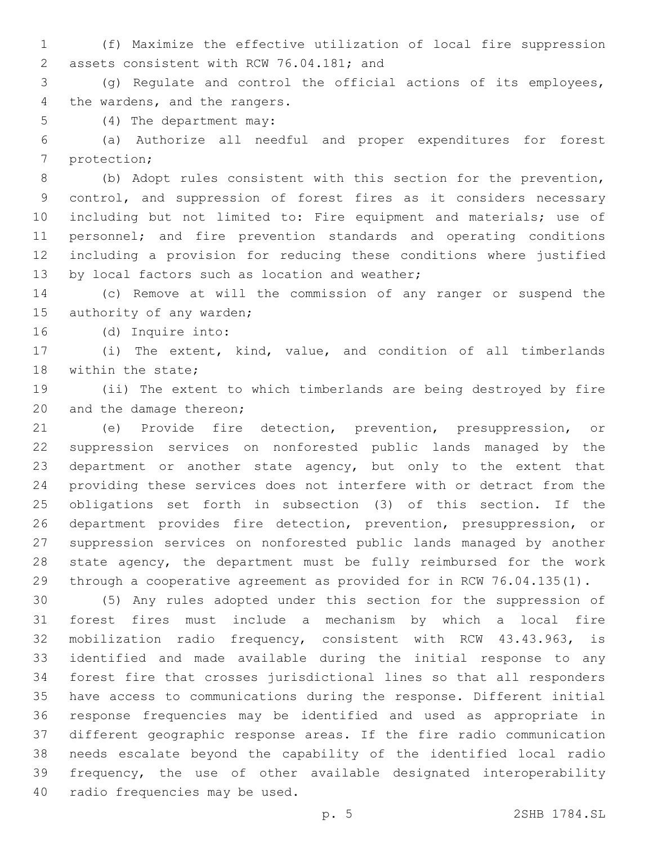(f) Maximize the effective utilization of local fire suppression 2 assets consistent with RCW 76.04.181; and

 (g) Regulate and control the official actions of its employees, 4 the wardens, and the rangers.

5 (4) The department may:

 (a) Authorize all needful and proper expenditures for forest 7 protection;

 (b) Adopt rules consistent with this section for the prevention, control, and suppression of forest fires as it considers necessary including but not limited to: Fire equipment and materials; use of personnel; and fire prevention standards and operating conditions including a provision for reducing these conditions where justified 13 by local factors such as location and weather;

 (c) Remove at will the commission of any ranger or suspend the 15 authority of any warden;

16 (d) Inquire into:

 (i) The extent, kind, value, and condition of all timberlands 18 within the state;

 (ii) The extent to which timberlands are being destroyed by fire 20 and the damage thereon;

 (e) Provide fire detection, prevention, presuppression, or suppression services on nonforested public lands managed by the department or another state agency, but only to the extent that providing these services does not interfere with or detract from the obligations set forth in subsection (3) of this section. If the department provides fire detection, prevention, presuppression, or suppression services on nonforested public lands managed by another state agency, the department must be fully reimbursed for the work through a cooperative agreement as provided for in RCW 76.04.135(1).

 (5) Any rules adopted under this section for the suppression of forest fires must include a mechanism by which a local fire mobilization radio frequency, consistent with RCW 43.43.963, is identified and made available during the initial response to any forest fire that crosses jurisdictional lines so that all responders have access to communications during the response. Different initial response frequencies may be identified and used as appropriate in different geographic response areas. If the fire radio communication needs escalate beyond the capability of the identified local radio frequency, the use of other available designated interoperability 40 radio frequencies may be used.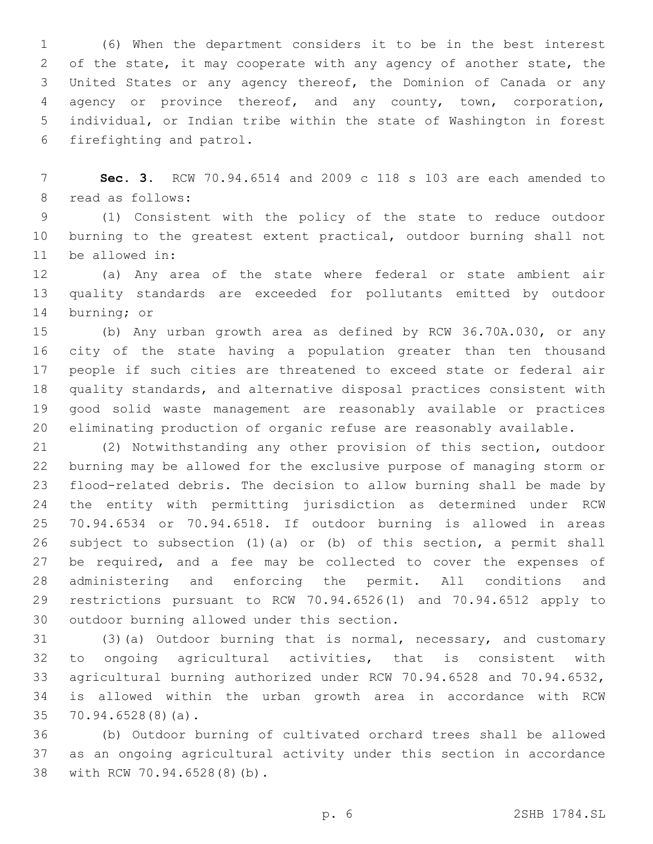(6) When the department considers it to be in the best interest of the state, it may cooperate with any agency of another state, the United States or any agency thereof, the Dominion of Canada or any agency or province thereof, and any county, town, corporation, individual, or Indian tribe within the state of Washington in forest 6 firefighting and patrol.

 **Sec. 3.** RCW 70.94.6514 and 2009 c 118 s 103 are each amended to 8 read as follows:

 (1) Consistent with the policy of the state to reduce outdoor burning to the greatest extent practical, outdoor burning shall not 11 be allowed in:

 (a) Any area of the state where federal or state ambient air quality standards are exceeded for pollutants emitted by outdoor 14 burning; or

 (b) Any urban growth area as defined by RCW 36.70A.030, or any city of the state having a population greater than ten thousand people if such cities are threatened to exceed state or federal air quality standards, and alternative disposal practices consistent with good solid waste management are reasonably available or practices eliminating production of organic refuse are reasonably available.

 (2) Notwithstanding any other provision of this section, outdoor burning may be allowed for the exclusive purpose of managing storm or flood-related debris. The decision to allow burning shall be made by the entity with permitting jurisdiction as determined under RCW 70.94.6534 or 70.94.6518. If outdoor burning is allowed in areas subject to subsection (1)(a) or (b) of this section, a permit shall be required, and a fee may be collected to cover the expenses of administering and enforcing the permit. All conditions and restrictions pursuant to RCW 70.94.6526(1) and 70.94.6512 apply to 30 outdoor burning allowed under this section.

 (3)(a) Outdoor burning that is normal, necessary, and customary to ongoing agricultural activities, that is consistent with agricultural burning authorized under RCW 70.94.6528 and 70.94.6532, is allowed within the urban growth area in accordance with RCW 35 70.94.6528(8)(a).

 (b) Outdoor burning of cultivated orchard trees shall be allowed as an ongoing agricultural activity under this section in accordance 38 with RCW 70.94.6528(8)(b).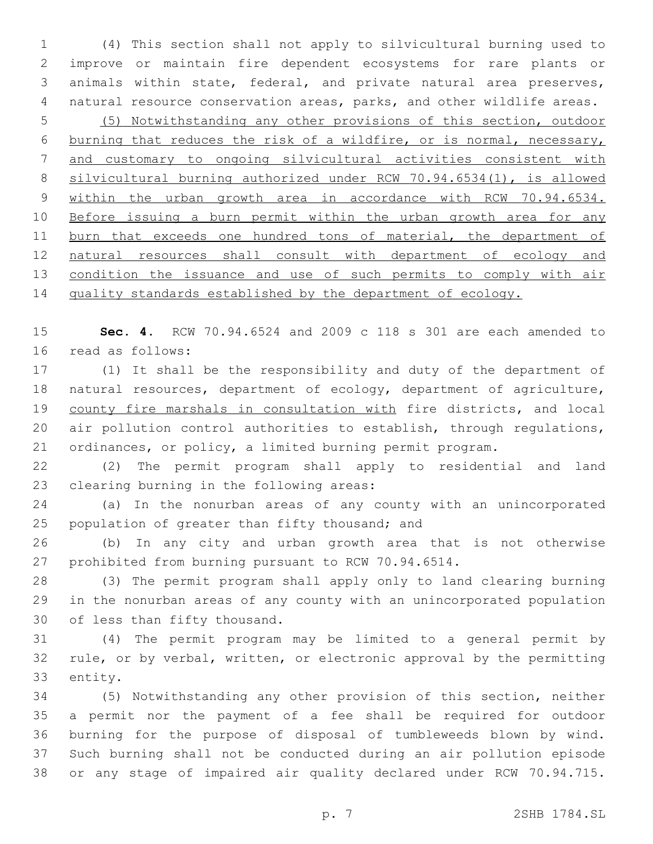(4) This section shall not apply to silvicultural burning used to improve or maintain fire dependent ecosystems for rare plants or animals within state, federal, and private natural area preserves, natural resource conservation areas, parks, and other wildlife areas. (5) Notwithstanding any other provisions of this section, outdoor burning that reduces the risk of a wildfire, or is normal, necessary, and customary to ongoing silvicultural activities consistent with silvicultural burning authorized under RCW 70.94.6534(1), is allowed within the urban growth area in accordance with RCW 70.94.6534. 10 Before issuing a burn permit within the urban growth area for any 11 burn that exceeds one hundred tons of material, the department of natural resources shall consult with department of ecology and 13 condition the issuance and use of such permits to comply with air 14 quality standards established by the department of ecology.

 **Sec. 4.** RCW 70.94.6524 and 2009 c 118 s 301 are each amended to 16 read as follows:

 (1) It shall be the responsibility and duty of the department of natural resources, department of ecology, department of agriculture, county fire marshals in consultation with fire districts, and local air pollution control authorities to establish, through regulations, ordinances, or policy, a limited burning permit program.

 (2) The permit program shall apply to residential and land 23 clearing burning in the following areas:

 (a) In the nonurban areas of any county with an unincorporated 25 population of greater than fifty thousand; and

 (b) In any city and urban growth area that is not otherwise prohibited from burning pursuant to RCW 70.94.6514.

 (3) The permit program shall apply only to land clearing burning in the nonurban areas of any county with an unincorporated population 30 of less than fifty thousand.

 (4) The permit program may be limited to a general permit by rule, or by verbal, written, or electronic approval by the permitting 33 entity.

 (5) Notwithstanding any other provision of this section, neither a permit nor the payment of a fee shall be required for outdoor burning for the purpose of disposal of tumbleweeds blown by wind. Such burning shall not be conducted during an air pollution episode or any stage of impaired air quality declared under RCW 70.94.715.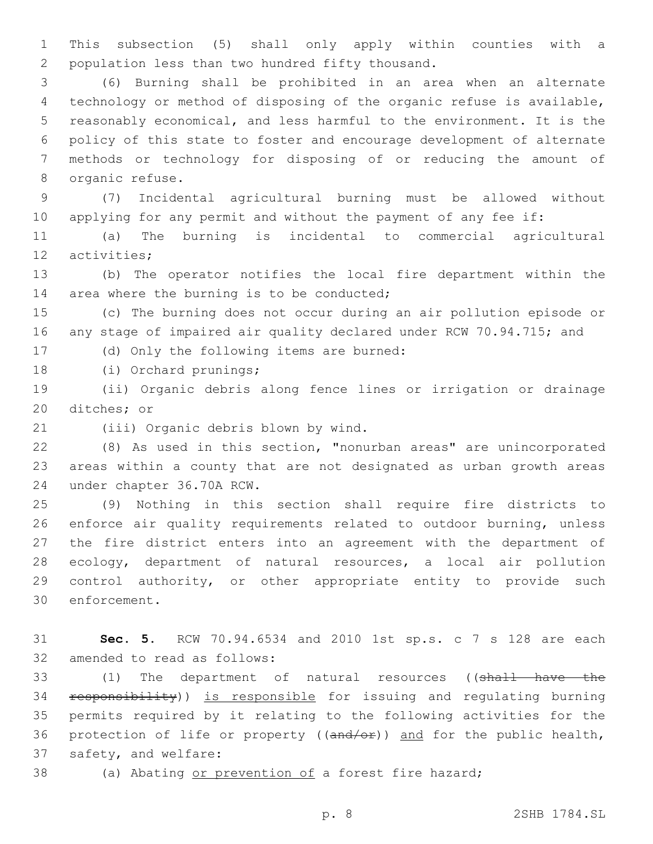1 This subsection (5) shall only apply within counties with a 2 population less than two hundred fifty thousand.

 (6) Burning shall be prohibited in an area when an alternate technology or method of disposing of the organic refuse is available, reasonably economical, and less harmful to the environment. It is the policy of this state to foster and encourage development of alternate methods or technology for disposing of or reducing the amount of 8 organic refuse.

9 (7) Incidental agricultural burning must be allowed without 10 applying for any permit and without the payment of any fee if:

11 (a) The burning is incidental to commercial agricultural 12 activities:

13 (b) The operator notifies the local fire department within the 14 area where the burning is to be conducted;

15 (c) The burning does not occur during an air pollution episode or 16 any stage of impaired air quality declared under RCW 70.94.715; and

17 (d) Only the following items are burned:

18 (i) Orchard prunings;

19 (ii) Organic debris along fence lines or irrigation or drainage 20 ditches; or

21 (iii) Organic debris blown by wind.

22 (8) As used in this section, "nonurban areas" are unincorporated 23 areas within a county that are not designated as urban growth areas 24 under chapter 36.70A RCW.

 (9) Nothing in this section shall require fire districts to enforce air quality requirements related to outdoor burning, unless the fire district enters into an agreement with the department of ecology, department of natural resources, a local air pollution control authority, or other appropriate entity to provide such 30 enforcement.

31 **Sec. 5.** RCW 70.94.6534 and 2010 1st sp.s. c 7 s 128 are each 32 amended to read as follows:

33 (1) The department of natural resources ((shall have the 34 responsibility)) is responsible for issuing and regulating burning 35 permits required by it relating to the following activities for the 36 protection of life or property ((and/or)) and for the public health, 37 safety, and welfare:

38 (a) Abating or prevention of a forest fire hazard;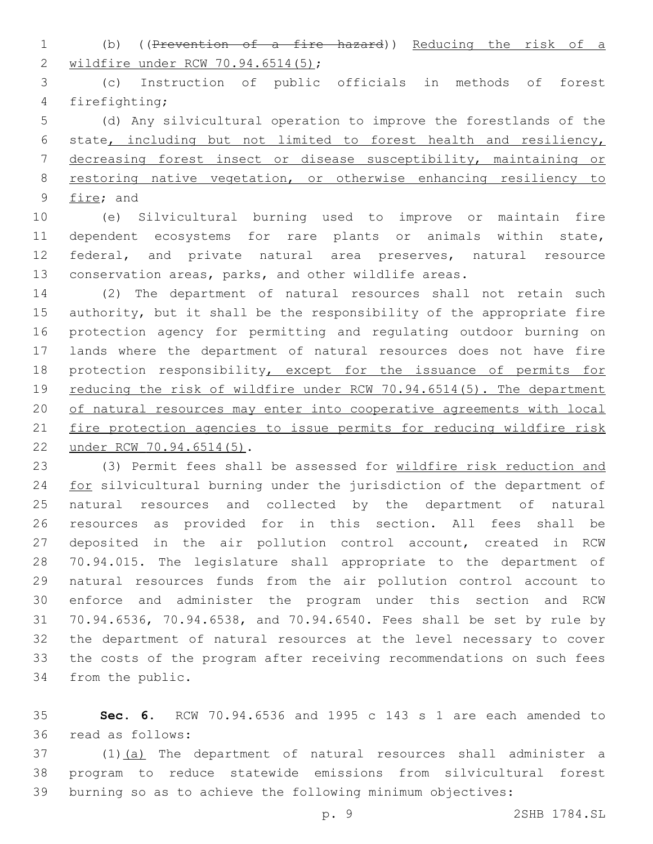(b) ((Prevention of a fire hazard)) Reducing the risk of a 2 wildfire under RCW 70.94.6514(5);

 (c) Instruction of public officials in methods of forest 4 firefighting;

 (d) Any silvicultural operation to improve the forestlands of the state, including but not limited to forest health and resiliency, decreasing forest insect or disease susceptibility, maintaining or restoring native vegetation, or otherwise enhancing resiliency to 9 fire; and

 (e) Silvicultural burning used to improve or maintain fire dependent ecosystems for rare plants or animals within state, federal, and private natural area preserves, natural resource conservation areas, parks, and other wildlife areas.

 (2) The department of natural resources shall not retain such authority, but it shall be the responsibility of the appropriate fire protection agency for permitting and regulating outdoor burning on lands where the department of natural resources does not have fire 18 protection responsibility, except for the issuance of permits for 19 reducing the risk of wildfire under RCW 70.94.6514(5). The department of natural resources may enter into cooperative agreements with local fire protection agencies to issue permits for reducing wildfire risk 22 under RCW 70.94.6514(5).

 (3) Permit fees shall be assessed for wildfire risk reduction and 24 for silvicultural burning under the jurisdiction of the department of natural resources and collected by the department of natural resources as provided for in this section. All fees shall be deposited in the air pollution control account, created in RCW 70.94.015. The legislature shall appropriate to the department of natural resources funds from the air pollution control account to enforce and administer the program under this section and RCW 70.94.6536, 70.94.6538, and 70.94.6540. Fees shall be set by rule by the department of natural resources at the level necessary to cover the costs of the program after receiving recommendations on such fees 34 from the public.

 **Sec. 6.** RCW 70.94.6536 and 1995 c 143 s 1 are each amended to read as follows:36

37 (1)(a) The department of natural resources shall administer a program to reduce statewide emissions from silvicultural forest burning so as to achieve the following minimum objectives: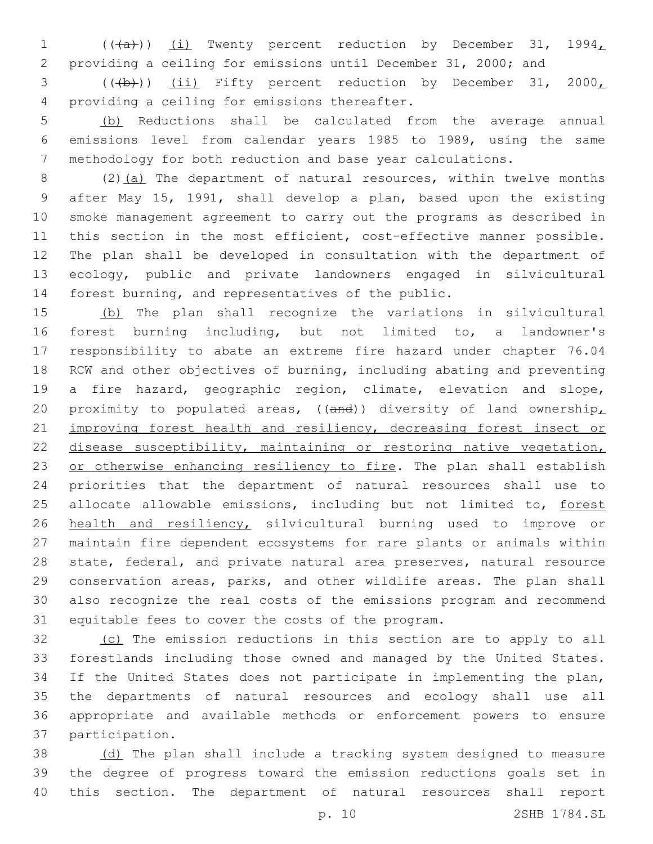1 (((a))) (i) Twenty percent reduction by December 31, 1994, providing a ceiling for emissions until December 31, 2000; and

3 (((b))) (ii) Fifty percent reduction by December 31, 2000, providing a ceiling for emissions thereafter.4

 (b) Reductions shall be calculated from the average annual emissions level from calendar years 1985 to 1989, using the same methodology for both reduction and base year calculations.

8 (2)(a) The department of natural resources, within twelve months after May 15, 1991, shall develop a plan, based upon the existing smoke management agreement to carry out the programs as described in 11 this section in the most efficient, cost-effective manner possible. The plan shall be developed in consultation with the department of ecology, public and private landowners engaged in silvicultural forest burning, and representatives of the public.

 (b) The plan shall recognize the variations in silvicultural forest burning including, but not limited to, a landowner's responsibility to abate an extreme fire hazard under chapter 76.04 RCW and other objectives of burning, including abating and preventing a fire hazard, geographic region, climate, elevation and slope, 20 proximity to populated areas, (( $and$ )) diversity of land ownership, 21 improving forest health and resiliency, decreasing forest insect or disease susceptibility, maintaining or restoring native vegetation, 23 or otherwise enhancing resiliency to fire. The plan shall establish priorities that the department of natural resources shall use to 25 allocate allowable emissions, including but not limited to, forest health and resiliency, silvicultural burning used to improve or maintain fire dependent ecosystems for rare plants or animals within state, federal, and private natural area preserves, natural resource conservation areas, parks, and other wildlife areas. The plan shall also recognize the real costs of the emissions program and recommend 31 equitable fees to cover the costs of the program.

32 (c) The emission reductions in this section are to apply to all forestlands including those owned and managed by the United States. If the United States does not participate in implementing the plan, the departments of natural resources and ecology shall use all appropriate and available methods or enforcement powers to ensure 37 participation.

 (d) The plan shall include a tracking system designed to measure the degree of progress toward the emission reductions goals set in this section. The department of natural resources shall report

p. 10 2SHB 1784.SL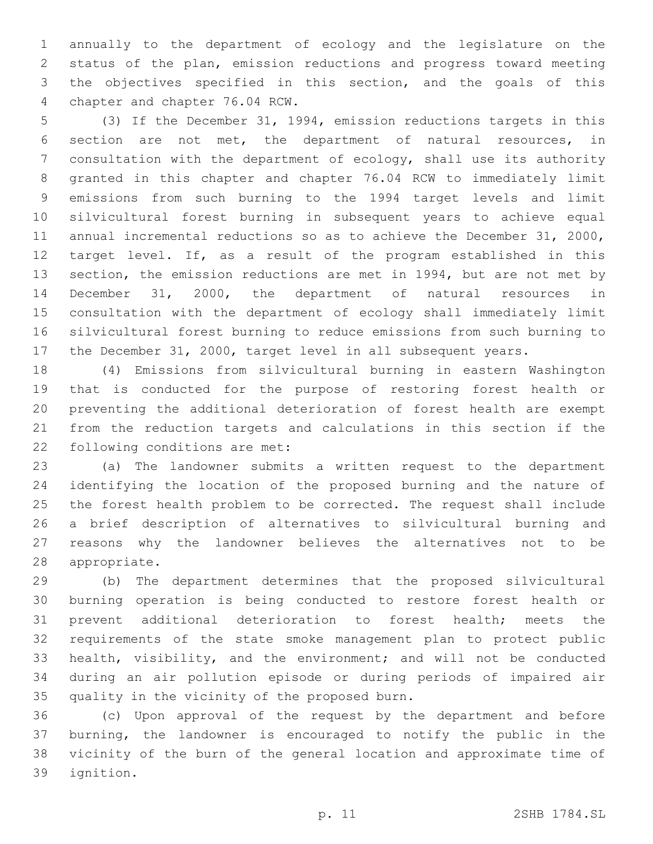annually to the department of ecology and the legislature on the status of the plan, emission reductions and progress toward meeting the objectives specified in this section, and the goals of this 4 chapter and chapter 76.04 RCW.

 (3) If the December 31, 1994, emission reductions targets in this section are not met, the department of natural resources, in consultation with the department of ecology, shall use its authority granted in this chapter and chapter 76.04 RCW to immediately limit emissions from such burning to the 1994 target levels and limit silvicultural forest burning in subsequent years to achieve equal annual incremental reductions so as to achieve the December 31, 2000, target level. If, as a result of the program established in this section, the emission reductions are met in 1994, but are not met by December 31, 2000, the department of natural resources in consultation with the department of ecology shall immediately limit silvicultural forest burning to reduce emissions from such burning to the December 31, 2000, target level in all subsequent years.

 (4) Emissions from silvicultural burning in eastern Washington that is conducted for the purpose of restoring forest health or preventing the additional deterioration of forest health are exempt from the reduction targets and calculations in this section if the 22 following conditions are met:

 (a) The landowner submits a written request to the department identifying the location of the proposed burning and the nature of the forest health problem to be corrected. The request shall include a brief description of alternatives to silvicultural burning and reasons why the landowner believes the alternatives not to be 28 appropriate.

 (b) The department determines that the proposed silvicultural burning operation is being conducted to restore forest health or prevent additional deterioration to forest health; meets the requirements of the state smoke management plan to protect public health, visibility, and the environment; and will not be conducted during an air pollution episode or during periods of impaired air 35 quality in the vicinity of the proposed burn.

 (c) Upon approval of the request by the department and before burning, the landowner is encouraged to notify the public in the vicinity of the burn of the general location and approximate time of 39 ignition.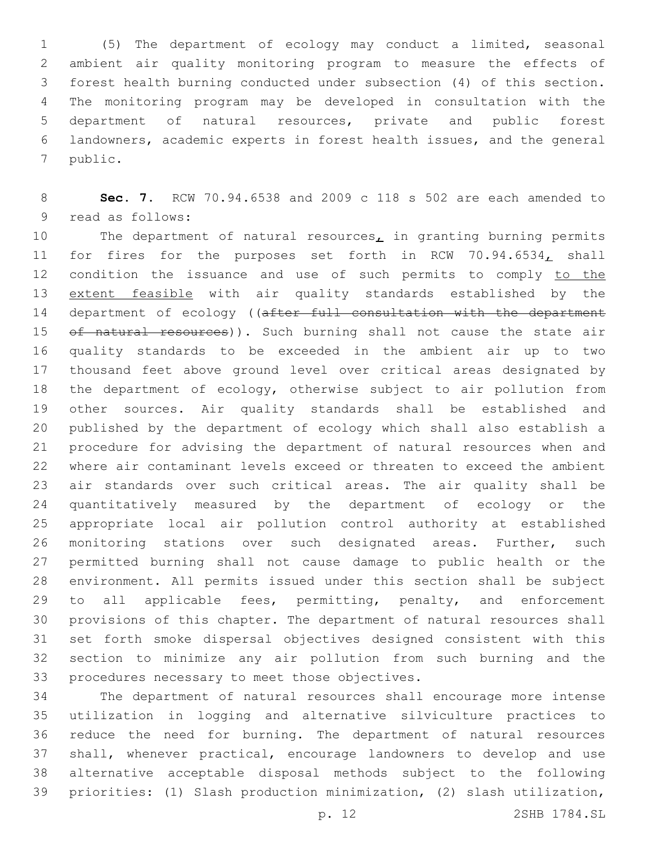(5) The department of ecology may conduct a limited, seasonal ambient air quality monitoring program to measure the effects of forest health burning conducted under subsection (4) of this section. The monitoring program may be developed in consultation with the department of natural resources, private and public forest landowners, academic experts in forest health issues, and the general 7 public.

 **Sec. 7.** RCW 70.94.6538 and 2009 c 118 s 502 are each amended to 9 read as follows:

10 The department of natural resources, in granting burning permits 11 for fires for the purposes set forth in RCW 70.94.6534, shall 12 condition the issuance and use of such permits to comply to the extent feasible with air quality standards established by the 14 department of ecology ((after full consultation with the department 15 of natural resources)). Such burning shall not cause the state air quality standards to be exceeded in the ambient air up to two thousand feet above ground level over critical areas designated by the department of ecology, otherwise subject to air pollution from other sources. Air quality standards shall be established and published by the department of ecology which shall also establish a procedure for advising the department of natural resources when and where air contaminant levels exceed or threaten to exceed the ambient air standards over such critical areas. The air quality shall be quantitatively measured by the department of ecology or the appropriate local air pollution control authority at established monitoring stations over such designated areas. Further, such permitted burning shall not cause damage to public health or the environment. All permits issued under this section shall be subject 29 to all applicable fees, permitting, penalty, and enforcement provisions of this chapter. The department of natural resources shall set forth smoke dispersal objectives designed consistent with this section to minimize any air pollution from such burning and the 33 procedures necessary to meet those objectives.

 The department of natural resources shall encourage more intense utilization in logging and alternative silviculture practices to reduce the need for burning. The department of natural resources shall, whenever practical, encourage landowners to develop and use alternative acceptable disposal methods subject to the following priorities: (1) Slash production minimization, (2) slash utilization,

p. 12 2SHB 1784.SL